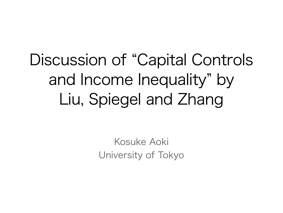Discussion of "Capital Controls and Income Inequality" by Liu, Spiegel and Zhang

> Kosuke Aoki University of Tokyo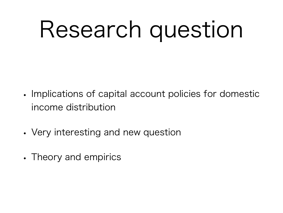## Research question

- Implications of capital account policies for domestic income distribution
- Very interesting and new question
- Theory and empirics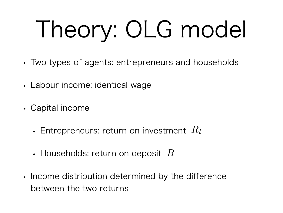# Theory: OLG model

- Two types of agents: entrepreneurs and households
- Labour income: identical wage
- Capital income
	- Entrepreneurs: return on investment *Rl*
	- Households: return on deposit *R*
- Income distribution determined by the difference between the two returns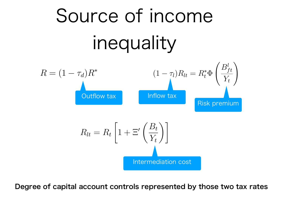

Degree of capital account controls represented by those two tax rates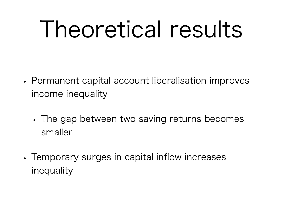#### I heoretical results

- Permanent capital account liberalisation improves income inequality
	- The gap between two saving returns becomes smaller
- Temporary surges in capital inflow increases inequality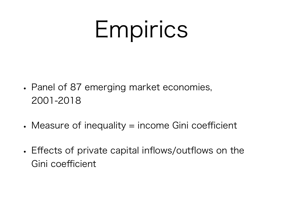#### Empirics

- Panel of 87 emerging market economies, 2001-2018
- Measure of inequality = income Gini coefficient
- Effects of private capital inflows/outflows on the Gini coefficient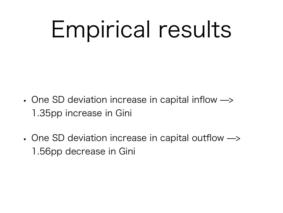#### Empirical results

- One SD deviation increase in capital inflow  $\rightarrow$ 1.35pp increase in Gini
- One SD deviation increase in capital outflow  $\rightarrow$ 1.56pp decrease in Gini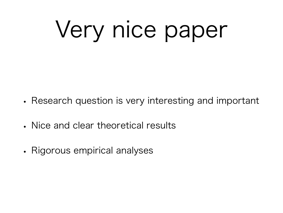# Very nice paper

- Research question is very interesting and important
- Nice and clear theoretical results
- Rigorous empirical analyses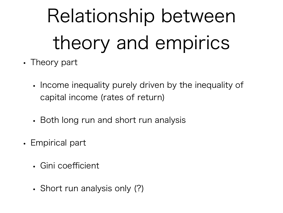### Relationship between theory and empirics

- Theory part
	- Income inequality purely driven by the inequality of capital income (rates of return)
	- Both long run and short run analysis
- Empirical part
	- Gini coefficient
	- Short run analysis only (?)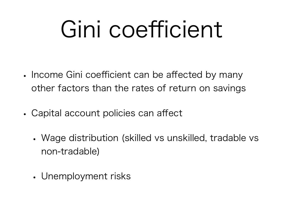#### Gini coefficient

- Income Gini coefficient can be affected by many other factors than the rates of return on savings
- Capital account policies can affect
	- Wage distribution (skilled vs unskilled, tradable vs non-tradable)
	- Unemployment risks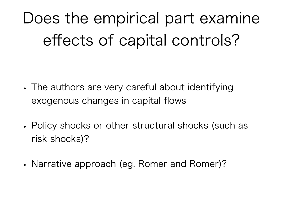Does the empirical part examine effects of capital controls?

- The authors are very careful about identifying exogenous changes in capital flows
- Policy shocks or other structural shocks (such as risk shocks)?
- Narrative approach (eg. Romer and Romer)?